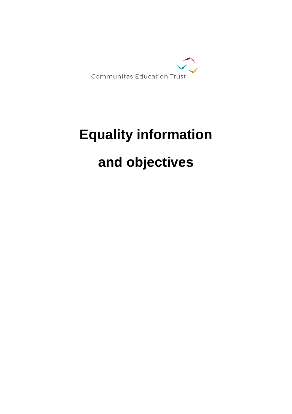

# **Equality information**

# **and objectives**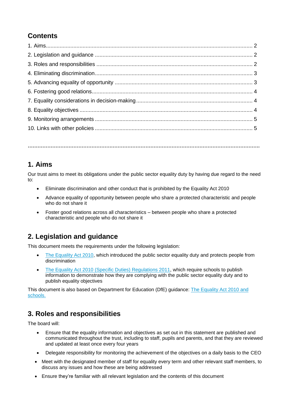# **Contents**

**…………………………………………………………………………………………………………………………….**

#### **1. Aims**

Our trust aims to meet its obligations under the public sector equality duty by having due regard to the need to:

- Eliminate discrimination and other conduct that is prohibited by the Equality Act 2010
- Advance equality of opportunity between people who share a protected characteristic and people who do not share it
- Foster good relations across all characteristics between people who share a protected characteristic and people who do not share it

#### **2. Legislation and guidance**

This document meets the requirements under the following legislation:

- [The Equality Act 2010,](http://www.legislation.gov.uk/ukpga/2010/15/contents) which introduced the public sector equality duty and protects people from discrimination
- [The Equality Act 2010 \(Specific Duties\) Regulations 2011,](http://www.legislation.gov.uk/uksi/2011/2260/contents/made) which require schools to publish information to demonstrate how they are complying with the public sector equality duty and to publish equality objectives

This document is also based on Department for Education (DfE) guidance: [The Equality Act 2010 and](https://www.gov.uk/government/uploads/system/uploads/attachment_data/file/315587/Equality_Act_Advice_Final.pdf)  [schools.](https://www.gov.uk/government/uploads/system/uploads/attachment_data/file/315587/Equality_Act_Advice_Final.pdf) 

#### **3. Roles and responsibilities**

The board will:

- Ensure that the equality information and objectives as set out in this statement are published and communicated throughout the trust, including to staff, pupils and parents, and that they are reviewed and updated at least once every four years
- Delegate responsibility for monitoring the achievement of the objectives on a daily basis to the CEO
- Meet with the designated member of staff for equality every term and other relevant staff members, to discuss any issues and how these are being addressed
- Ensure they're familiar with all relevant legislation and the contents of this document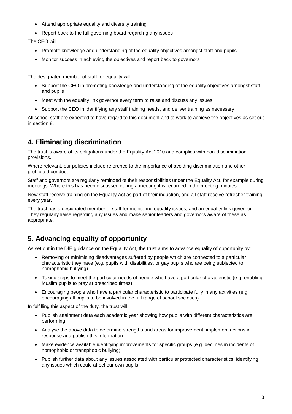- Attend appropriate equality and diversity training
- Report back to the full governing board regarding any issues

The CEO will:

- Promote knowledge and understanding of the equality objectives amongst staff and pupils
- Monitor success in achieving the objectives and report back to governors

The designated member of staff for equality will:

- Support the CEO in promoting knowledge and understanding of the equality objectives amongst staff and pupils
- Meet with the equality link governor every term to raise and discuss any issues
- Support the CEO in identifying any staff training needs, and deliver training as necessary

All school staff are expected to have regard to this document and to work to achieve the objectives as set out in section 8.

#### **4. Eliminating discrimination**

The trust is aware of its obligations under the Equality Act 2010 and complies with non-discrimination provisions.

Where relevant, our policies include reference to the importance of avoiding discrimination and other prohibited conduct.

Staff and governors are regularly reminded of their responsibilities under the Equality Act, for example during meetings. Where this has been discussed during a meeting it is recorded in the meeting minutes.

New staff receive training on the Equality Act as part of their induction, and all staff receive refresher training every year.

The trust has a designated member of staff for monitoring equality issues, and an equality link governor. They regularly liaise regarding any issues and make senior leaders and governors aware of these as appropriate.

#### **5. Advancing equality of opportunity**

As set out in the DfE guidance on the Equality Act, the trust aims to advance equality of opportunity by:

- Removing or minimising disadvantages suffered by people which are connected to a particular characteristic they have (e.g. pupils with disabilities, or gay pupils who are being subjected to homophobic bullying)
- Taking steps to meet the particular needs of people who have a particular characteristic (e.g. enabling Muslim pupils to pray at prescribed times)
- Encouraging people who have a particular characteristic to participate fully in any activities (e.g. encouraging all pupils to be involved in the full range of school societies)

In fulfilling this aspect of the duty, the trust will:

- Publish attainment data each academic year showing how pupils with different characteristics are performing
- Analyse the above data to determine strengths and areas for improvement, implement actions in response and publish this information
- Make evidence available identifying improvements for specific groups (e.g. declines in incidents of homophobic or transphobic bullying)
- Publish further data about any issues associated with particular protected characteristics, identifying any issues which could affect our own pupils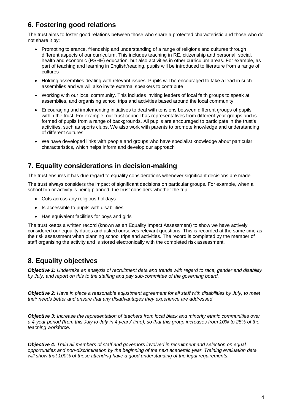# **6. Fostering good relations**

The trust aims to foster good relations between those who share a protected characteristic and those who do not share it by:

- Promoting tolerance, friendship and understanding of a range of religions and cultures through different aspects of our curriculum. This includes teaching in RE, citizenship and personal, social, health and economic (PSHE) education, but also activities in other curriculum areas. For example, as part of teaching and learning in English/reading, pupils will be introduced to literature from a range of cultures
- Holding assemblies dealing with relevant issues. Pupils will be encouraged to take a lead in such assemblies and we will also invite external speakers to contribute
- Working with our local community. This includes inviting leaders of local faith groups to speak at assemblies, and organising school trips and activities based around the local community
- Encouraging and implementing initiatives to deal with tensions between different groups of pupils within the trust. For example, our trust council has representatives from different year groups and is formed of pupils from a range of backgrounds. All pupils are encouraged to participate in the trust's activities, such as sports clubs. We also work with parents to promote knowledge and understanding of different cultures
- We have developed links with people and groups who have specialist knowledge about particular characteristics, which helps inform and develop our approach

### **7. Equality considerations in decision-making**

The trust ensures it has due regard to equality considerations whenever significant decisions are made.

The trust always considers the impact of significant decisions on particular groups. For example, when a school trip or activity is being planned, the trust considers whether the trip:

- Cuts across any religious holidays
- Is accessible to pupils with disabilities
- Has equivalent facilities for boys and girls

The trust keeps a written record (known as an Equality Impact Assessment) to show we have actively considered our equality duties and asked ourselves relevant questions. This is recorded at the same time as the risk assessment when planning school trips and activities. The record is completed by the member of staff organising the activity and is stored electronically with the completed risk assessment.

#### **8. Equality objectives**

*Objective 1: Undertake an analysis of recruitment data and trends with regard to race, gender and disability by July, and report on this to the staffing and pay sub-committee of the governing board.*

*Objective 2: Have in place a reasonable adjustment agreement for all staff with disabilities by July, to meet their needs better and ensure that any disadvantages they experience are addressed.*

*Objective 3: Increase the representation of teachers from local black and minority ethnic communities over a 4-year period (from this July to July in 4 years' time), so that this group increases from 10% to 25% of the teaching workforce.*

*Objective 4: Train all members of staff and governors involved in recruitment and selection on equal opportunities and non-discrimination by the beginning of the next academic year. Training evaluation data will show that 100% of those attending have a good understanding of the legal requirements.*